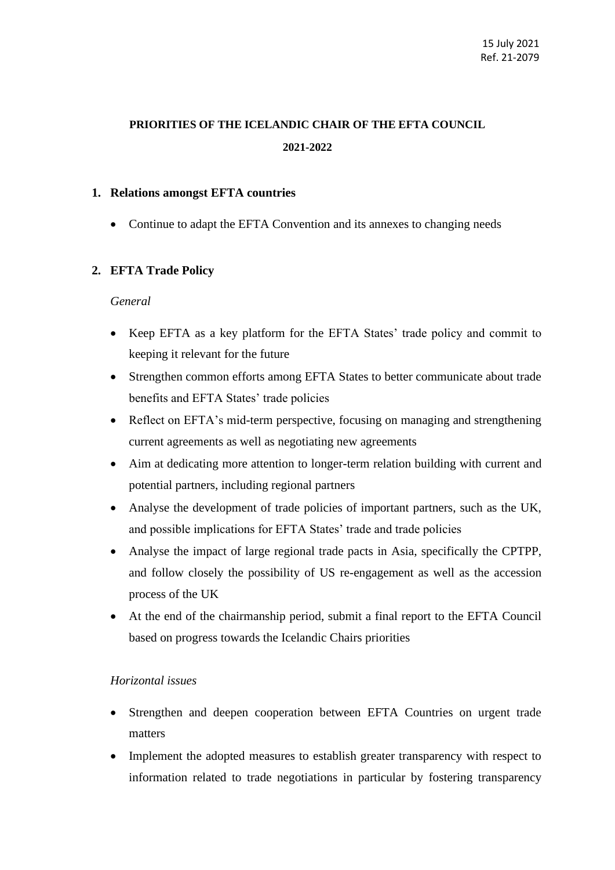# **PRIORITIES OF THE ICELANDIC CHAIR OF THE EFTA COUNCIL 2021-2022**

## **1. Relations amongst EFTA countries**

• Continue to adapt the EFTA Convention and its annexes to changing needs

## **2. EFTA Trade Policy**

#### *General*

- Keep EFTA as a key platform for the EFTA States' trade policy and commit to keeping it relevant for the future
- Strengthen common efforts among EFTA States to better communicate about trade benefits and EFTA States' trade policies
- Reflect on EFTA's mid-term perspective, focusing on managing and strengthening current agreements as well as negotiating new agreements
- Aim at dedicating more attention to longer-term relation building with current and potential partners, including regional partners
- Analyse the development of trade policies of important partners, such as the UK, and possible implications for EFTA States' trade and trade policies
- Analyse the impact of large regional trade pacts in Asia, specifically the CPTPP, and follow closely the possibility of US re-engagement as well as the accession process of the UK
- At the end of the chairmanship period, submit a final report to the EFTA Council based on progress towards the Icelandic Chairs priorities

#### *Horizontal issues*

- Strengthen and deepen cooperation between EFTA Countries on urgent trade matters
- Implement the adopted measures to establish greater transparency with respect to information related to trade negotiations in particular by fostering transparency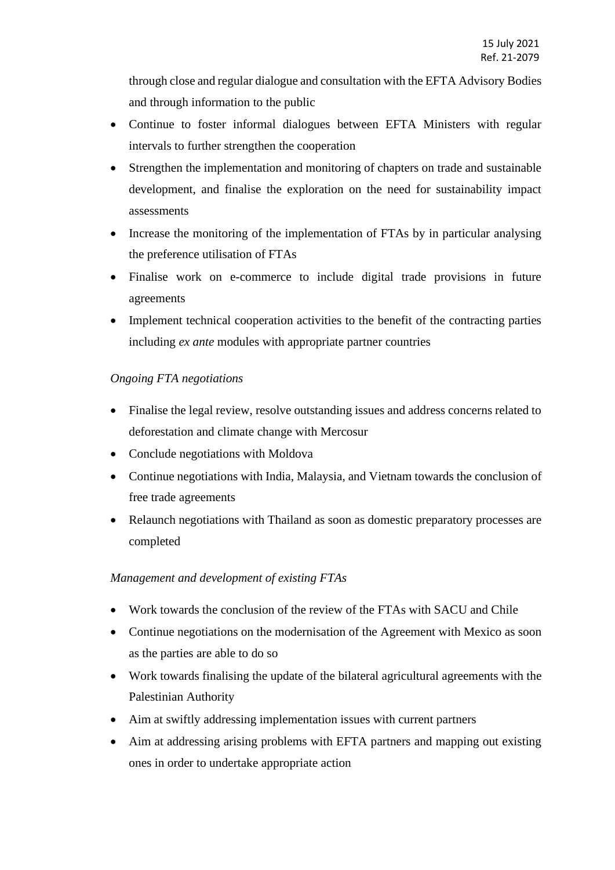through close and regular dialogue and consultation with the EFTA Advisory Bodies and through information to the public

- Continue to foster informal dialogues between EFTA Ministers with regular intervals to further strengthen the cooperation
- Strengthen the implementation and monitoring of chapters on trade and sustainable development, and finalise the exploration on the need for sustainability impact assessments
- Increase the monitoring of the implementation of FTAs by in particular analysing the preference utilisation of FTAs
- Finalise work on e-commerce to include digital trade provisions in future agreements
- Implement technical cooperation activities to the benefit of the contracting parties including *ex ante* modules with appropriate partner countries

# *Ongoing FTA negotiations*

- Finalise the legal review, resolve outstanding issues and address concerns related to deforestation and climate change with Mercosur
- Conclude negotiations with Moldova
- Continue negotiations with India, Malaysia, and Vietnam towards the conclusion of free trade agreements
- Relaunch negotiations with Thailand as soon as domestic preparatory processes are completed

# *Management and development of existing FTAs*

- Work towards the conclusion of the review of the FTAs with SACU and Chile
- Continue negotiations on the modernisation of the Agreement with Mexico as soon as the parties are able to do so
- Work towards finalising the update of the bilateral agricultural agreements with the Palestinian Authority
- Aim at swiftly addressing implementation issues with current partners
- Aim at addressing arising problems with EFTA partners and mapping out existing ones in order to undertake appropriate action